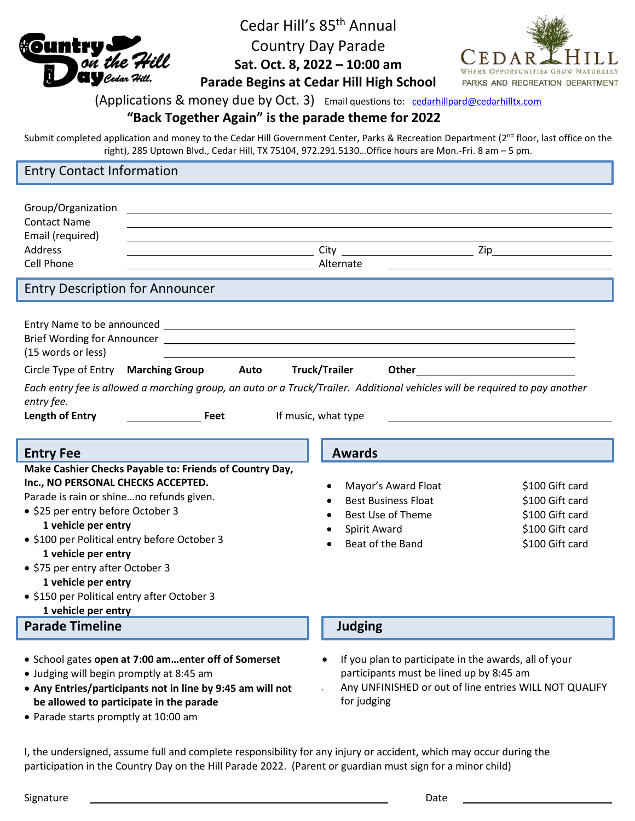

Cedar Hill's 85<sup>th</sup> Annual Country Day Parade **Sat. Oct. 8, 2022 – 10:00 am**



**Parade Begins at Cedar Hill High School**

## (Applications & money due by Oct. 3) Email questions to: [cedarhillpard@cedarhilltx.com](mailto:cedarhillpard@cedarhilltx.com)

## **"Back Together Again" is the parade theme for 2022**

Submit completed application and money to the Cedar Hill Government Center, Parks & Recreation Department (2<sup>nd</sup> floor, last office on the right), 285 Uptown Blvd., Cedar Hill, TX 75104, 972.291.5130…Office hours are Mon.-Fri. 8 am – 5 pm.

## Entry Contact Information

| Group/Organization<br><b>Contact Name</b><br>Email (required)<br><b>Address</b><br><b>Cell Phone</b>                                                                                                                                                                                                                                                                                                          | Alternate                                                                                                                                                                  |                                                                                             |
|---------------------------------------------------------------------------------------------------------------------------------------------------------------------------------------------------------------------------------------------------------------------------------------------------------------------------------------------------------------------------------------------------------------|----------------------------------------------------------------------------------------------------------------------------------------------------------------------------|---------------------------------------------------------------------------------------------|
| <b>Entry Description for Announcer</b>                                                                                                                                                                                                                                                                                                                                                                        |                                                                                                                                                                            |                                                                                             |
| (15 words or less)<br>Circle Type of Entry Marching Group<br>Auto<br>Each entry fee is allowed a marching group, an auto or a Truck/Trailer. Additional vehicles will be required to pay another<br>entry fee.<br><b>Length of Entry</b><br><b>Example 1</b> Feet                                                                                                                                             | <b>Truck/Trailer</b><br>Other<br>If music, what type                                                                                                                       |                                                                                             |
| <b>Entry Fee</b>                                                                                                                                                                                                                                                                                                                                                                                              | <b>Awards</b>                                                                                                                                                              |                                                                                             |
| Make Cashier Checks Payable to: Friends of Country Day,<br>Inc., NO PERSONAL CHECKS ACCEPTED.<br>Parade is rain or shineno refunds given.<br>• \$25 per entry before October 3<br>1 vehicle per entry<br>• \$100 per Political entry before October 3<br>1 vehicle per entry<br>• \$75 per entry after October 3<br>1 vehicle per entry<br>• \$150 per Political entry after October 3<br>1 vehicle per entry | Mayor's Award Float<br><b>Best Business Float</b><br><b>Best Use of Theme</b><br>Spirit Award<br>Beat of the Band                                                          | \$100 Gift card<br>\$100 Gift card<br>\$100 Gift card<br>\$100 Gift card<br>\$100 Gift card |
| <b>Parade Timeline</b>                                                                                                                                                                                                                                                                                                                                                                                        | <b>Judging</b>                                                                                                                                                             |                                                                                             |
| • School gates open at 7:00 amenter off of Somerset<br>• Judging will begin promptly at 8:45 am<br>• Any Entries/participants not in line by 9:45 am will not<br>be allowed to participate in the parade<br>• Parade starts promptly at 10:00 am                                                                                                                                                              | If you plan to participate in the awards, all of your<br>participants must be lined up by 8:45 am<br>Any UNFINISHED or out of line entries WILL NOT QUALIFY<br>for judging |                                                                                             |

I, the undersigned, assume full and complete responsibility for any injury or accident, which may occur during the participation in the Country Day on the Hill Parade 2022. (Parent or guardian must sign for a minor child)